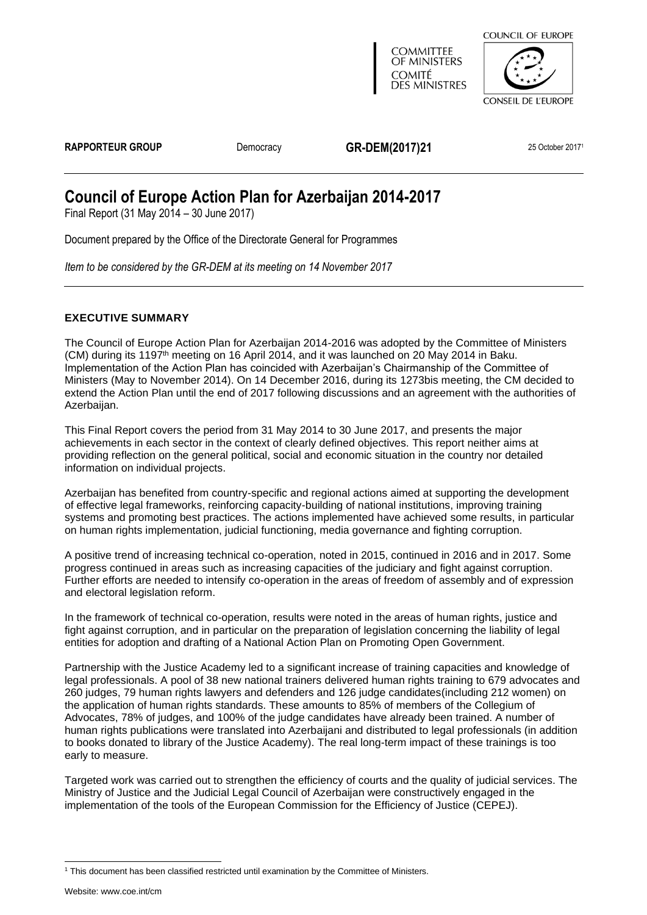

Document prepared by the Office of the Directorate General for Programmes

*Item to be considered by the GR-DEM at its meeting on 14 November 2017*

### <span id="page-0-0"></span>**EXECUTIVE SUMMARY**

The Council of Europe Action Plan for Azerbaijan 2014-2016 was adopted by the Committee of Ministers (CM) during its 1197<sup>th</sup> meeting on 16 April 2014, and it was launched on 20 May 2014 in Baku. Implementation of the Action Plan has coincided with Azerbaijan's Chairmanship of the Committee of Ministers (May to November 2014). On 14 December 2016, during its 1273bis meeting, the CM decided to extend the Action Plan until the end of 2017 following discussions and an agreement with the authorities of Azerbaijan.

This Final Report covers the period from 31 May 2014 to 30 June 2017, and presents the major achievements in each sector in the context of clearly defined objectives. This report neither aims at providing reflection on the general political, social and economic situation in the country nor detailed information on individual projects.

Azerbaijan has benefited from country-specific and regional actions aimed at supporting the development of effective legal frameworks, reinforcing capacity-building of national institutions, improving training systems and promoting best practices. The actions implemented have achieved some results, in particular on human rights implementation, judicial functioning, media governance and fighting corruption.

A positive trend of increasing technical co-operation, noted in 2015, continued in 2016 and in 2017. Some progress continued in areas such as increasing capacities of the judiciary and fight against corruption. Further efforts are needed to intensify co-operation in the areas of freedom of assembly and of expression and electoral legislation reform.

In the framework of technical co-operation, results were noted in the areas of human rights, justice and fight against corruption, and in particular on the preparation of legislation concerning the liability of legal entities for adoption and drafting of a National Action Plan on Promoting Open Government.

Partnership with the Justice Academy led to a significant increase of training capacities and knowledge of legal professionals. A pool of 38 new national trainers delivered human rights training to 679 advocates and 260 judges, 79 human rights lawyers and defenders and 126 judge candidates(including 212 women) on the application of human rights standards. These amounts to 85% of members of the Collegium of Advocates, 78% of judges, and 100% of the judge candidates have already been trained. A number of human rights publications were translated into Azerbaijani and distributed to legal professionals (in addition to books donated to library of the Justice Academy). The real long-term impact of these trainings is too early to measure.

Targeted work was carried out to strengthen the efficiency of courts and the quality of judicial services. The Ministry of Justice and the Judicial Legal Council of Azerbaijan were constructively engaged in the implementation of the tools of the European Commission for the Efficiency of Justice (CEPEJ).

<sup>&</sup>lt;sup>1</sup> This document has been classified restricted until examination by the Committee of Ministers.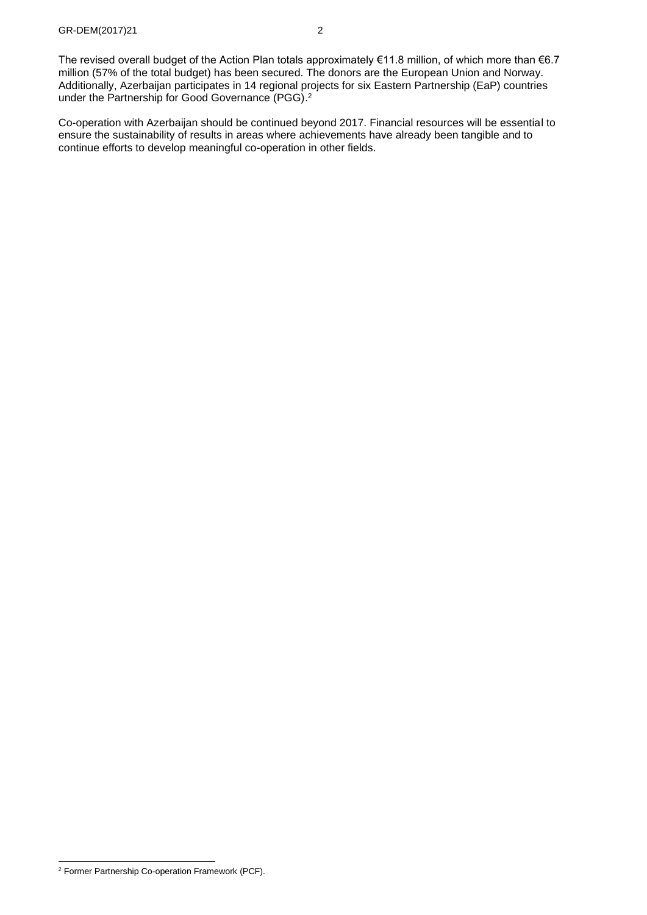The revised overall budget of the Action Plan totals approximately €11.8 million, of which more than €6.7 million (57% of the total budget) has been secured. The donors are the European Union and Norway. Additionally, Azerbaijan participates in 14 regional projects for six Eastern Partnership (EaP) countries under the Partnership for Good Governance (PGG). 2

Co-operation with Azerbaijan should be continued beyond 2017. Financial resources will be essential to ensure the sustainability of results in areas where achievements have already been tangible and to continue efforts to develop meaningful co-operation in other fields.

<sup>2</sup> Former Partnership Co-operation Framework (PCF).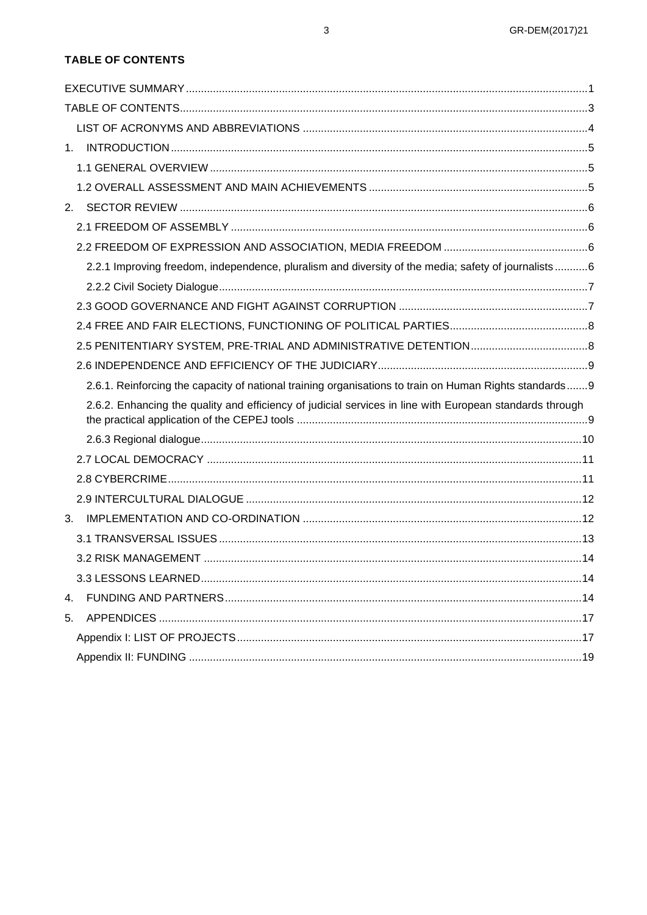## <span id="page-2-0"></span>**TABLE OF CONTENTS**

| $2^{2}$ |                                                                                                          |  |
|---------|----------------------------------------------------------------------------------------------------------|--|
|         |                                                                                                          |  |
|         |                                                                                                          |  |
|         | 2.2.1 Improving freedom, independence, pluralism and diversity of the media; safety of journalists6      |  |
|         |                                                                                                          |  |
|         |                                                                                                          |  |
|         |                                                                                                          |  |
|         |                                                                                                          |  |
|         |                                                                                                          |  |
|         | 2.6.1. Reinforcing the capacity of national training organisations to train on Human Rights standards 9  |  |
|         | 2.6.2. Enhancing the quality and efficiency of judicial services in line with European standards through |  |
|         |                                                                                                          |  |
|         |                                                                                                          |  |
|         |                                                                                                          |  |
|         |                                                                                                          |  |
| 3.      |                                                                                                          |  |
|         |                                                                                                          |  |
|         |                                                                                                          |  |
|         |                                                                                                          |  |
| 4.      |                                                                                                          |  |
| 5.      |                                                                                                          |  |
|         |                                                                                                          |  |
|         |                                                                                                          |  |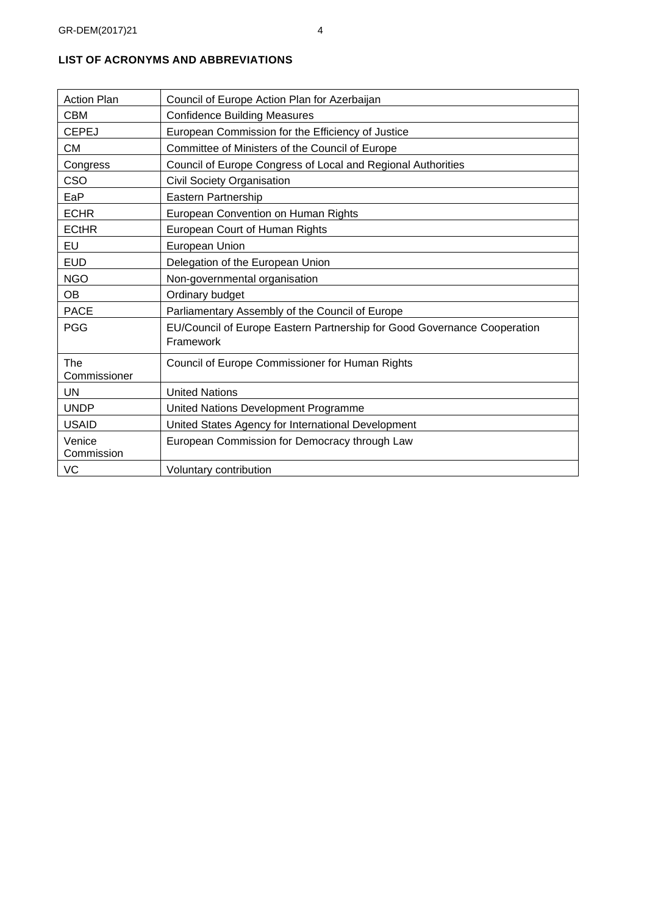| <b>Action Plan</b>   | Council of Europe Action Plan for Azerbaijan                             |
|----------------------|--------------------------------------------------------------------------|
| <b>CBM</b>           | <b>Confidence Building Measures</b>                                      |
| <b>CEPEJ</b>         | European Commission for the Efficiency of Justice                        |
| <b>CM</b>            | Committee of Ministers of the Council of Europe                          |
| Congress             | Council of Europe Congress of Local and Regional Authorities             |
| CSO                  | Civil Society Organisation                                               |
| EaP                  | Eastern Partnership                                                      |
| <b>ECHR</b>          | European Convention on Human Rights                                      |
| <b>ECtHR</b>         | European Court of Human Rights                                           |
| EU                   | <b>European Union</b>                                                    |
| <b>EUD</b>           | Delegation of the European Union                                         |
| <b>NGO</b>           | Non-governmental organisation                                            |
| <b>OB</b>            | Ordinary budget                                                          |
| <b>PACE</b>          | Parliamentary Assembly of the Council of Europe                          |
| <b>PGG</b>           | EU/Council of Europe Eastern Partnership for Good Governance Cooperation |
|                      | Framework                                                                |
| The                  | Council of Europe Commissioner for Human Rights                          |
| Commissioner         |                                                                          |
| <b>UN</b>            | <b>United Nations</b>                                                    |
| <b>UNDP</b>          | United Nations Development Programme                                     |
| <b>USAID</b>         | United States Agency for International Development                       |
| Venice<br>Commission | European Commission for Democracy through Law                            |
| VC                   | Voluntary contribution                                                   |
|                      |                                                                          |

# <span id="page-3-0"></span>**LIST OF ACRONYMS AND ABBREVIATIONS**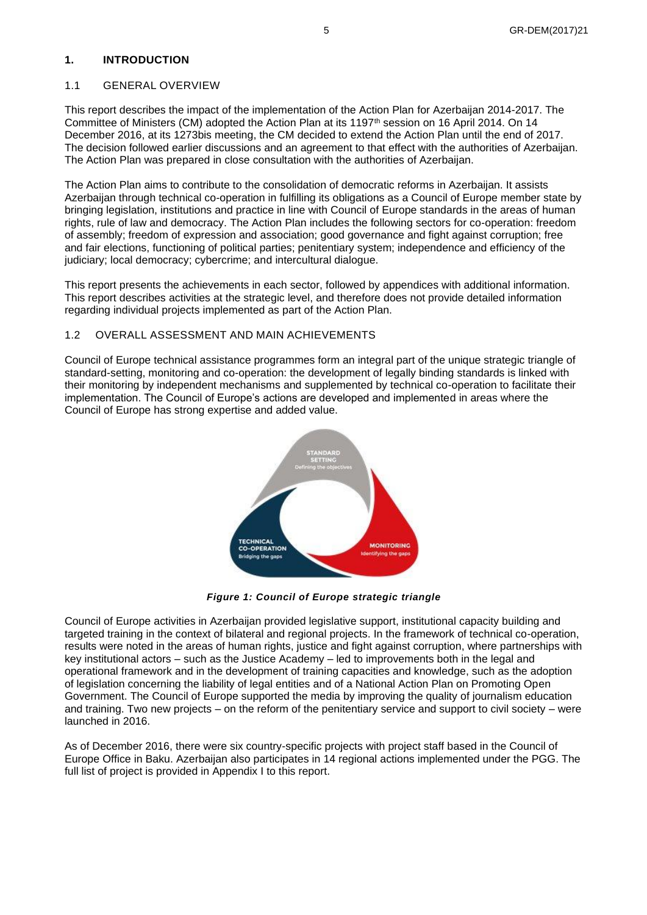#### <span id="page-4-0"></span>**1. INTRODUCTION**

#### <span id="page-4-1"></span>1.1 GENERAL OVERVIEW

This report describes the impact of the implementation of the Action Plan for Azerbaijan 2014-2017. The Committee of Ministers (CM) adopted the Action Plan at its 1197<sup>th</sup> session on 16 April 2014. On 14 December 2016, at its 1273bis meeting, the CM decided to extend the Action Plan until the end of 2017. The decision followed earlier discussions and an agreement to that effect with the authorities of Azerbaijan. The Action Plan was prepared in close consultation with the authorities of Azerbaijan.

The Action Plan aims to contribute to the consolidation of democratic reforms in Azerbaijan. It assists Azerbaijan through technical co-operation in fulfilling its obligations as a Council of Europe member state by bringing legislation, institutions and practice in line with Council of Europe standards in the areas of human rights, rule of law and democracy. The Action Plan includes the following sectors for co-operation: freedom of assembly; freedom of expression and association; good governance and fight against corruption; free and fair elections, functioning of political parties; penitentiary system; independence and efficiency of the judiciary; local democracy; cybercrime; and intercultural dialogue.

This report presents the achievements in each sector, followed by appendices with additional information. This report describes activities at the strategic level, and therefore does not provide detailed information regarding individual projects implemented as part of the Action Plan.

### <span id="page-4-2"></span>1.2 OVERALL ASSESSMENT AND MAIN ACHIEVEMENTS

Council of Europe technical assistance programmes form an integral part of the unique strategic triangle of standard-setting, monitoring and co-operation: the development of legally binding standards is linked with their monitoring by independent mechanisms and supplemented by technical co-operation to facilitate their implementation. The Council of Europe's actions are developed and implemented in areas where the Council of Europe has strong expertise and added value.



*Figure 1: Council of Europe strategic triangle*

Council of Europe activities in Azerbaijan provided legislative support, institutional capacity building and targeted training in the context of bilateral and regional projects. In the framework of technical co-operation, results were noted in the areas of human rights, justice and fight against corruption, where partnerships with key institutional actors – such as the Justice Academy – led to improvements both in the legal and operational framework and in the development of training capacities and knowledge, such as the adoption of legislation concerning the liability of legal entities and of a National Action Plan on Promoting Open Government. The Council of Europe supported the media by improving the quality of journalism education and training. Two new projects – on the reform of the penitentiary service and support to civil society – were launched in 2016.

<span id="page-4-3"></span>As of December 2016, there were six country-specific projects with project staff based in the Council of Europe Office in Baku. Azerbaijan also participates in 14 regional actions implemented under the PGG. The full list of project is provided in Appendix I to this report.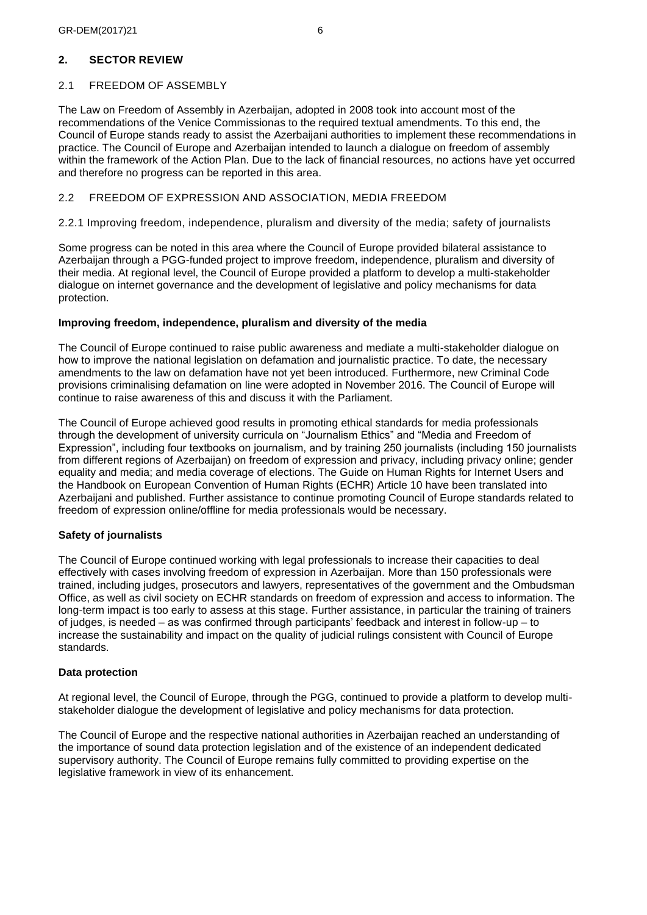## **2. SECTOR REVIEW**

# <span id="page-5-0"></span>2.1 FREEDOM OF ASSEMBLY

The Law on Freedom of Assembly in Azerbaijan, adopted in 2008 took into account most of the recommendations of the Venice Commissionas to the required textual amendments. To this end, the Council of Europe stands ready to assist the Azerbaijani authorities to implement these recommendations in practice. The Council of Europe and Azerbaijan intended to launch a dialogue on freedom of assembly within the framework of the Action Plan. Due to the lack of financial resources, no actions have yet occurred and therefore no progress can be reported in this area.

## <span id="page-5-1"></span>2.2 FREEDOM OF EXPRESSION AND ASSOCIATION, MEDIA FREEDOM

## <span id="page-5-2"></span>2.2.1 Improving freedom, independence, pluralism and diversity of the media; safety of journalists

Some progress can be noted in this area where the Council of Europe provided bilateral assistance to Azerbaijan through a PGG-funded project to improve freedom, independence, pluralism and diversity of their media. At regional level, the Council of Europe provided a platform to develop a multi-stakeholder dialogue on internet governance and the development of legislative and policy mechanisms for data protection.

## **Improving freedom, independence, pluralism and diversity of the media**

The Council of Europe continued to raise public awareness and mediate a multi-stakeholder dialogue on how to improve the national legislation on defamation and journalistic practice. To date, the necessary amendments to the law on defamation have not yet been introduced. Furthermore, new Criminal Code provisions criminalising defamation on line were adopted in November 2016. The Council of Europe will continue to raise awareness of this and discuss it with the Parliament.

The Council of Europe achieved good results in promoting ethical standards for media professionals through the development of university curricula on "Journalism Ethics" and "Media and Freedom of Expression", including four textbooks on journalism, and by training 250 journalists (including 150 journalists from different regions of Azerbaijan) on freedom of expression and privacy, including privacy online; gender equality and media; and media coverage of elections. The Guide on Human Rights for Internet Users and the Handbook on European Convention of Human Rights (ECHR) Article 10 have been translated into Azerbaijani and published. Further assistance to continue promoting Council of Europe standards related to freedom of expression online/offline for media professionals would be necessary.

## **Safety of journalists**

The Council of Europe continued working with legal professionals to increase their capacities to deal effectively with cases involving freedom of expression in Azerbaijan. More than 150 professionals were trained, including judges, prosecutors and lawyers, representatives of the government and the Ombudsman Office, as well as civil society on ECHR standards on freedom of expression and access to information. The long-term impact is too early to assess at this stage. Further assistance, in particular the training of trainers of judges, is needed – as was confirmed through participants' feedback and interest in follow-up – to increase the sustainability and impact on the quality of judicial rulings consistent with Council of Europe standards.

## **Data protection**

At regional level, the Council of Europe, through the PGG, continued to provide a platform to develop multistakeholder dialogue the development of legislative and policy mechanisms for data protection.

<span id="page-5-3"></span>The Council of Europe and the respective national authorities in Azerbaijan reached an understanding of the importance of sound data protection legislation and of the existence of an independent dedicated supervisory authority. The Council of Europe remains fully committed to providing expertise on the legislative framework in view of its enhancement.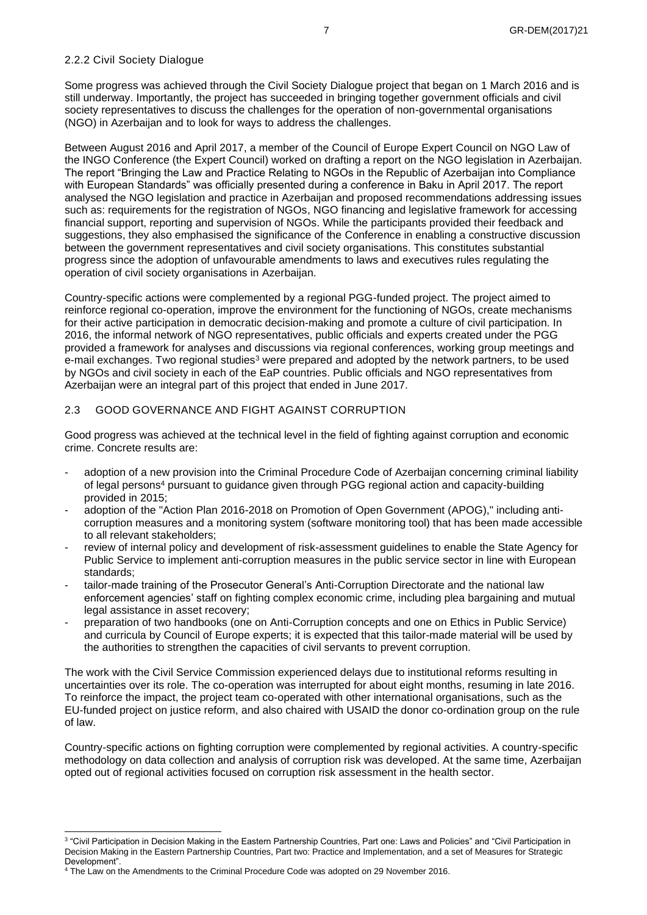## 2.2.2 Civil Society Dialogue

Some progress was achieved through the Civil Society Dialogue project that began on 1 March 2016 and is still underway. Importantly, the project has succeeded in bringing together government officials and civil society representatives to discuss the challenges for the operation of non-governmental organisations (NGO) in Azerbaijan and to look for ways to address the challenges.

Between August 2016 and April 2017, a member of the Council of Europe Expert Council on NGO Law of the INGO Conference (the Expert Council) worked on drafting a report on the NGO legislation in Azerbaijan. The report "Bringing the Law and Practice Relating to NGOs in the Republic of Azerbaijan into Compliance with European Standards" was officially presented during a conference in Baku in April 2017. The report analysed the NGO legislation and practice in Azerbaijan and proposed recommendations addressing issues such as: requirements for the registration of NGOs, NGO financing and legislative framework for accessing financial support, reporting and supervision of NGOs. While the participants provided their feedback and suggestions, they also emphasised the significance of the Conference in enabling a constructive discussion between the government representatives and civil society organisations. This constitutes substantial progress since the adoption of unfavourable amendments to laws and executives rules regulating the operation of civil society organisations in Azerbaijan.

Country-specific actions were complemented by a regional PGG-funded project. The project aimed to reinforce regional co-operation, improve the environment for the functioning of NGOs, create mechanisms for their active participation in democratic decision-making and promote a culture of civil participation. In 2016, the informal network of NGO representatives, public officials and experts created under the PGG provided a framework for analyses and discussions via regional conferences, working group meetings and e-mail exchanges. Two regional studies<sup>3</sup> were prepared and adopted by the network partners, to be used by NGOs and civil society in each of the EaP countries. Public officials and NGO representatives from Azerbaijan were an integral part of this project that ended in June 2017.

## <span id="page-6-0"></span>2.3 GOOD GOVERNANCE AND FIGHT AGAINST CORRUPTION

Good progress was achieved at the technical level in the field of fighting against corruption and economic crime. Concrete results are:

- adoption of a new provision into the Criminal Procedure Code of Azerbaijan concerning criminal liability of legal persons<sup>4</sup> pursuant to guidance given through PGG regional action and capacity-building provided in 2015;
- adoption of the "Action Plan 2016-2018 on Promotion of Open Government (APOG)," including anticorruption measures and a monitoring system (software monitoring tool) that has been made accessible to all relevant stakeholders;
- review of internal policy and development of risk-assessment guidelines to enable the State Agency for Public Service to implement anti-corruption measures in the public service sector in line with European standards;
- tailor-made training of the Prosecutor General's Anti-Corruption Directorate and the national law enforcement agencies' staff on fighting complex economic crime, including plea bargaining and mutual legal assistance in asset recovery;
- preparation of two handbooks (one on Anti-Corruption concepts and one on Ethics in Public Service) and curricula by Council of Europe experts; it is expected that this tailor-made material will be used by the authorities to strengthen the capacities of civil servants to prevent corruption.

The work with the Civil Service Commission experienced delays due to institutional reforms resulting in uncertainties over its role. The co-operation was interrupted for about eight months, resuming in late 2016. To reinforce the impact, the project team co-operated with other international organisations, such as the EU-funded project on justice reform, and also chaired with USAID the donor co-ordination group on the rule of law.

Country-specific actions on fighting corruption were complemented by regional activities. A country-specific methodology on data collection and analysis of corruption risk was developed. At the same time, Azerbaijan opted out of regional activities focused on corruption risk assessment in the health sector.

<span id="page-6-1"></span><sup>3</sup> "Civil Participation in Decision Making in the Eastern Partnership Countries, Part one: Laws and Policies" and "Civil Participation in Decision Making in the Eastern Partnership Countries, Part two: Practice and Implementation, and a set of Measures for Strategic Development".

<sup>4</sup> The Law on the Amendments to the Criminal Procedure Code was adopted on 29 November 2016.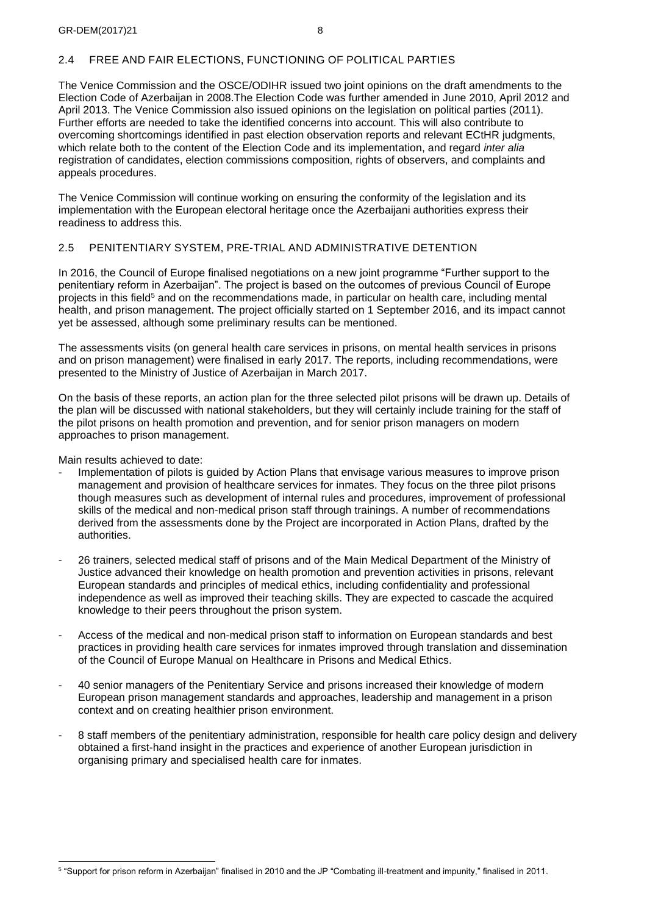## 2.4 FREE AND FAIR ELECTIONS, FUNCTIONING OF POLITICAL PARTIES

The Venice Commission and the OSCE/ODIHR issued two joint opinions on the draft amendments to the Election Code of Azerbaijan in 2008.The Election Code was further amended in June 2010, April 2012 and April 2013. The Venice Commission also issued opinions on the legislation on political parties (2011). Further efforts are needed to take the identified concerns into account. This will also contribute to overcoming shortcomings identified in past election observation reports and relevant ECtHR judgments, which relate both to the content of the Election Code and its implementation, and regard *inter alia*  registration of candidates, election commissions composition, rights of observers, and complaints and appeals procedures.

The Venice Commission will continue working on ensuring the conformity of the legislation and its implementation with the European electoral heritage once the Azerbaijani authorities express their readiness to address this.

### <span id="page-7-0"></span>2.5 PENITENTIARY SYSTEM, PRE-TRIAL AND ADMINISTRATIVE DETENTION

In 2016, the Council of Europe finalised negotiations on a new joint programme "Further support to the penitentiary reform in Azerbaijan". The project is based on the outcomes of previous Council of Europe projects in this field<sup>5</sup> and on the recommendations made, in particular on health care, including mental health, and prison management. The project officially started on 1 September 2016, and its impact cannot yet be assessed, although some preliminary results can be mentioned.

The assessments visits (on general health care services in prisons, on mental health services in prisons and on prison management) were finalised in early 2017. The reports, including recommendations, were presented to the Ministry of Justice of Azerbaijan in March 2017.

On the basis of these reports, an action plan for the three selected pilot prisons will be drawn up. Details of the plan will be discussed with national stakeholders, but they will certainly include training for the staff of the pilot prisons on health promotion and prevention, and for senior prison managers on modern approaches to prison management.

Main results achieved to date:

- Implementation of pilots is quided by Action Plans that envisage various measures to improve prison management and provision of healthcare services for inmates. They focus on the three pilot prisons though measures such as development of internal rules and procedures, improvement of professional skills of the medical and non-medical prison staff through trainings. A number of recommendations derived from the assessments done by the Project are incorporated in Action Plans, drafted by the authorities.
- 26 trainers, selected medical staff of prisons and of the Main Medical Department of the Ministry of Justice advanced their knowledge on health promotion and prevention activities in prisons, relevant European standards and principles of medical ethics, including confidentiality and professional independence as well as improved their teaching skills. They are expected to cascade the acquired knowledge to their peers throughout the prison system.
- Access of the medical and non-medical prison staff to information on European standards and best practices in providing health care services for inmates improved through translation and dissemination of the Council of Europe Manual on Healthcare in Prisons and Medical Ethics.
- 40 senior managers of the Penitentiary Service and prisons increased their knowledge of modern European prison management standards and approaches, leadership and management in a prison context and on creating healthier prison environment.
- <span id="page-7-1"></span>- 8 staff members of the penitentiary administration, responsible for health care policy design and delivery obtained a first-hand insight in the practices and experience of another European jurisdiction in organising primary and specialised health care for inmates.

<sup>5</sup> "Support for prison reform in Azerbaijan" finalised in 2010 and the JP "Combating ill-treatment and impunity," finalised in 2011.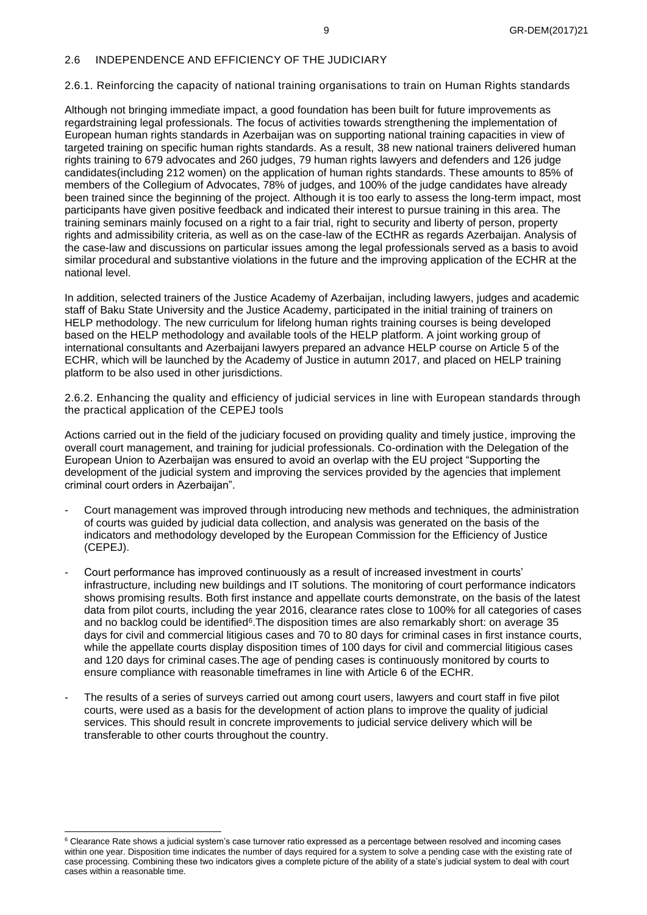### 2.6 INDEPENDENCE AND EFFICIENCY OF THE JUDICIARY

#### <span id="page-8-0"></span>2.6.1. Reinforcing the capacity of national training organisations to train on Human Rights standards

Although not bringing immediate impact, a good foundation has been built for future improvements as regardstraining legal professionals. The focus of activities towards strengthening the implementation of European human rights standards in Azerbaijan was on supporting national training capacities in view of targeted training on specific human rights standards. As a result, 38 new national trainers delivered human rights training to 679 advocates and 260 judges, 79 human rights lawyers and defenders and 126 judge candidates(including 212 women) on the application of human rights standards. These amounts to 85% of members of the Collegium of Advocates, 78% of judges, and 100% of the judge candidates have already been trained since the beginning of the project. Although it is too early to assess the long-term impact, most participants have given positive feedback and indicated their interest to pursue training in this area. The training seminars mainly focused on a right to a fair trial, right to security and liberty of person, property rights and admissibility criteria, as well as on the case-law of the ECtHR as regards Azerbaijan. Analysis of the case-law and discussions on particular issues among the legal professionals served as a basis to avoid similar procedural and substantive violations in the future and the improving application of the ECHR at the national level.

In addition, selected trainers of the Justice Academy of Azerbaijan, including lawyers, judges and academic staff of Baku State University and the Justice Academy, participated in the initial training of trainers on HELP methodology. The new curriculum for lifelong human rights training courses is being developed based on the HELP methodology and available tools of the HELP platform. A joint working group of international consultants and Azerbaijani lawyers prepared an advance HELP course on Article 5 of the ECHR, which will be launched by the Academy of Justice in autumn 2017, and placed on HELP training platform to be also used in other jurisdictions.

<span id="page-8-1"></span>2.6.2. Enhancing the quality and efficiency of judicial services in line with European standards through the practical application of the CEPEJ tools

Actions carried out in the field of the judiciary focused on providing quality and timely justice, improving the overall court management, and training for judicial professionals. Co-ordination with the Delegation of the European Union to Azerbaijan was ensured to avoid an overlap with the EU project "Supporting the development of the judicial system and improving the services provided by the agencies that implement criminal court orders in Azerbaijan".

- Court management was improved through introducing new methods and techniques, the administration of courts was guided by judicial data collection, and analysis was generated on the basis of the indicators and methodology developed by the European Commission for the Efficiency of Justice (CEPEJ).
- Court performance has improved continuously as a result of increased investment in courts' infrastructure, including new buildings and IT solutions. The monitoring of court performance indicators shows promising results. Both first instance and appellate courts demonstrate, on the basis of the latest data from pilot courts, including the year 2016, clearance rates close to 100% for all categories of cases and no backlog could be identified<sup>6</sup>. The disposition times are also remarkably short: on average 35 days for civil and commercial litigious cases and 70 to 80 days for criminal cases in first instance courts, while the appellate courts display disposition times of 100 days for civil and commercial litigious cases and 120 days for criminal cases.The age of pending cases is continuously monitored by courts to ensure compliance with reasonable timeframes in line with Article 6 of the ECHR.
- The results of a series of surveys carried out among court users, lawyers and court staff in five pilot courts, were used as a basis for the development of action plans to improve the quality of judicial services. This should result in concrete improvements to judicial service delivery which will be transferable to other courts throughout the country.

<sup>&</sup>lt;sup>6</sup> Clearance Rate shows a judicial system's case turnover ratio expressed as a percentage between resolved and incoming cases within one year. Disposition time indicates the number of days required for a system to solve a pending case with the existing rate of case processing. Combining these two indicators gives a complete picture of the ability of a state's judicial system to deal with court cases within a reasonable time.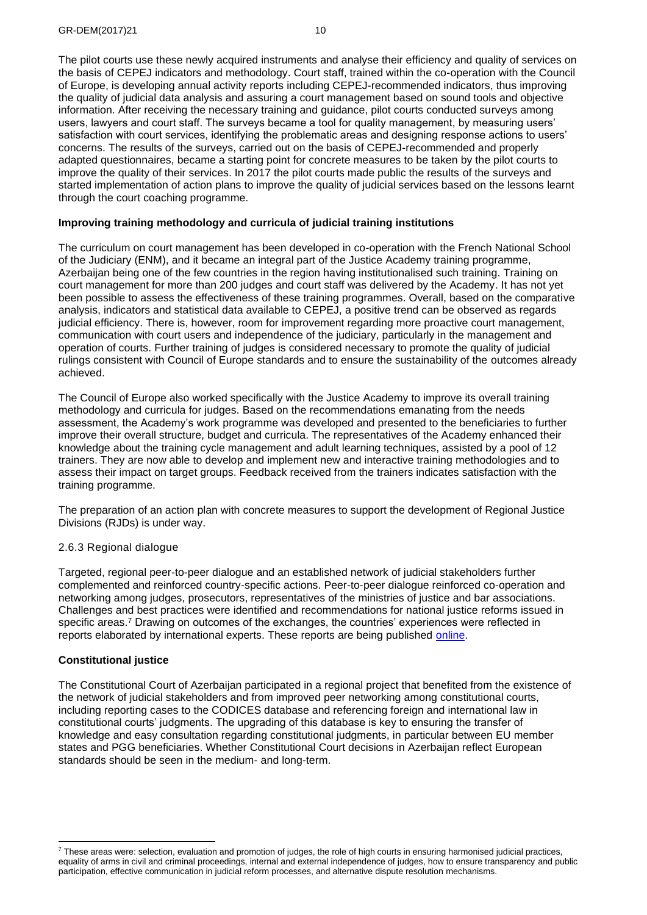The pilot courts use these newly acquired instruments and analyse their efficiency and quality of services on the basis of CEPEJ indicators and methodology. Court staff, trained within the co-operation with the Council of Europe, is developing annual activity reports including CEPEJ-recommended indicators, thus improving the quality of judicial data analysis and assuring a court management based on sound tools and objective information. After receiving the necessary training and guidance, pilot courts conducted surveys among users, lawyers and court staff. The surveys became a tool for quality management, by measuring users' satisfaction with court services, identifying the problematic areas and designing response actions to users' concerns. The results of the surveys, carried out on the basis of CEPEJ-recommended and properly adapted questionnaires, became a starting point for concrete measures to be taken by the pilot courts to improve the quality of their services. In 2017 the pilot courts made public the results of the surveys and started implementation of action plans to improve the quality of judicial services based on the lessons learnt through the court coaching programme.

## **Improving training methodology and curricula of judicial training institutions**

The curriculum on court management has been developed in co-operation with the French National School of the Judiciary (ENM), and it became an integral part of the Justice Academy training programme, Azerbaijan being one of the few countries in the region having institutionalised such training. Training on court management for more than 200 judges and court staff was delivered by the Academy. It has not yet been possible to assess the effectiveness of these training programmes. Overall, based on the comparative analysis, indicators and statistical data available to CEPEJ, a positive trend can be observed as regards judicial efficiency. There is, however, room for improvement regarding more proactive court management, communication with court users and independence of the judiciary, particularly in the management and operation of courts. Further training of judges is considered necessary to promote the quality of judicial rulings consistent with Council of Europe standards and to ensure the sustainability of the outcomes already achieved.

The Council of Europe also worked specifically with the Justice Academy to improve its overall training methodology and curricula for judges. Based on the recommendations emanating from the needs assessment, the Academy's work programme was developed and presented to the beneficiaries to further improve their overall structure, budget and curricula. The representatives of the Academy enhanced their knowledge about the training cycle management and adult learning techniques, assisted by a pool of 12 trainers. They are now able to develop and implement new and interactive training methodologies and to assess their impact on target groups. Feedback received from the trainers indicates satisfaction with the training programme.

The preparation of an action plan with concrete measures to support the development of Regional Justice Divisions (RJDs) is under way.

#### <span id="page-9-0"></span>2.6.3 Regional dialogue

Targeted, regional peer-to-peer dialogue and an established network of judicial stakeholders further complemented and reinforced country-specific actions. Peer-to-peer dialogue reinforced co-operation and networking among judges, prosecutors, representatives of the ministries of justice and bar associations. Challenges and best practices were identified and recommendations for national justice reforms issued in specific areas.<sup>7</sup> Drawing on outcomes of the exchanges, the countries' experiences were reflected in reports elaborated by international experts. These reports are being published [online.](http://www.coe.int/t/dghl/standardsetting/cdcj/co-operation_projects/Judicial_reform/regional_dialogue_eastern_partnership/regional_dialogue_reports_en.asp)

#### **Constitutional justice**

The Constitutional Court of Azerbaijan participated in a regional project that benefited from the existence of the network of judicial stakeholders and from improved peer networking among constitutional courts, including reporting cases to the CODICES database and referencing foreign and international law in constitutional courts' judgments. The upgrading of this database is key to ensuring the transfer of knowledge and easy consultation regarding constitutional judgments, in particular between EU member states and PGG beneficiaries. Whether Constitutional Court decisions in Azerbaijan reflect European standards should be seen in the medium- and long-term.

 $7$  These areas were: selection, evaluation and promotion of judges, the role of high courts in ensuring harmonised judicial practices, equality of arms in civil and criminal proceedings, internal and external independence of judges, how to ensure transparency and public participation, effective communication in judicial reform processes, and alternative dispute resolution mechanisms.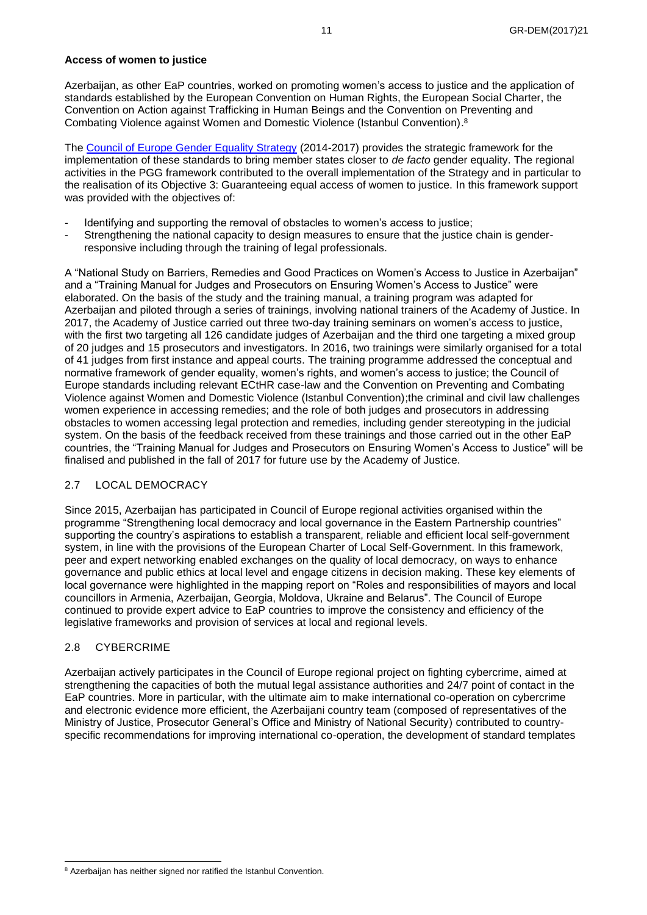### **Access of women to justice**

Azerbaijan, as other EaP countries, worked on promoting women's access to justice and the application of standards established by the European Convention on Human Rights, the European Social Charter, the Convention on Action against Trafficking in Human Beings and the Convention on Preventing and Combating Violence against Women and Domestic Violence (Istanbul Convention). 8

The [Council of Europe Gender Equality Strategy](http://www.coe.int/en/web/genderequality/gender-equality-strategy) (2014-2017) provides the strategic framework for the implementation of these standards to bring member states closer to *de facto* gender equality. The regional activities in the PGG framework contributed to the overall implementation of the Strategy and in particular to the realisation of its Objective 3: Guaranteeing equal access of women to justice. In this framework support was provided with the objectives of:

- Identifying and supporting the removal of obstacles to women's access to justice;
- Strengthening the national capacity to design measures to ensure that the justice chain is genderresponsive including through the training of legal professionals.

A "National Study on Barriers, Remedies and Good Practices on Women's Access to Justice in Azerbaijan" and a "Training Manual for Judges and Prosecutors on Ensuring Women's Access to Justice" were elaborated. On the basis of the study and the training manual, a training program was adapted for Azerbaijan and piloted through a series of trainings, involving national trainers of the Academy of Justice. In 2017, the Academy of Justice carried out three two-day training seminars on women's access to justice, with the first two targeting all 126 candidate judges of Azerbaijan and the third one targeting a mixed group of 20 judges and 15 prosecutors and investigators. In 2016, two trainings were similarly organised for a total of 41 judges from first instance and appeal courts. The training programme addressed the conceptual and normative framework of gender equality, women's rights, and women's access to justice; the Council of Europe standards including relevant ECtHR case-law and the Convention on Preventing and Combating Violence against Women and Domestic Violence (Istanbul Convention);the criminal and civil law challenges women experience in accessing remedies; and the role of both judges and prosecutors in addressing obstacles to women accessing legal protection and remedies, including gender stereotyping in the judicial system. On the basis of the feedback received from these trainings and those carried out in the other EaP countries, the "Training Manual for Judges and Prosecutors on Ensuring Women's Access to Justice" will be finalised and published in the fall of 2017 for future use by the Academy of Justice.

## <span id="page-10-0"></span>2.7 LOCAL DEMOCRACY

Since 2015, Azerbaijan has participated in Council of Europe regional activities organised within the programme "Strengthening local democracy and local governance in the Eastern Partnership countries" supporting the country's aspirations to establish a transparent, reliable and efficient local self-government system, in line with the provisions of the European Charter of Local Self-Government. In this framework, peer and expert networking enabled exchanges on the quality of local democracy, on ways to enhance governance and public ethics at local level and engage citizens in decision making. These key elements of local governance were highlighted in the mapping report on "Roles and responsibilities of mayors and local councillors in Armenia, Azerbaijan, Georgia, Moldova, Ukraine and Belarus". The Council of Europe continued to provide expert advice to EaP countries to improve the consistency and efficiency of the legislative frameworks and provision of services at local and regional levels.

## <span id="page-10-1"></span>2.8 CYBERCRIME

Azerbaijan actively participates in the Council of Europe regional project on fighting cybercrime, aimed at strengthening the capacities of both the mutual legal assistance authorities and 24/7 point of contact in the EaP countries. More in particular, with the ultimate aim to make international co-operation on cybercrime and electronic evidence more efficient, the Azerbaijani country team (composed of representatives of the Ministry of Justice, Prosecutor General's Office and Ministry of National Security) contributed to countryspecific recommendations for improving international co-operation, the development of standard templates

<sup>&</sup>lt;sup>8</sup> Azerbaijan has neither signed nor ratified the Istanbul Convention.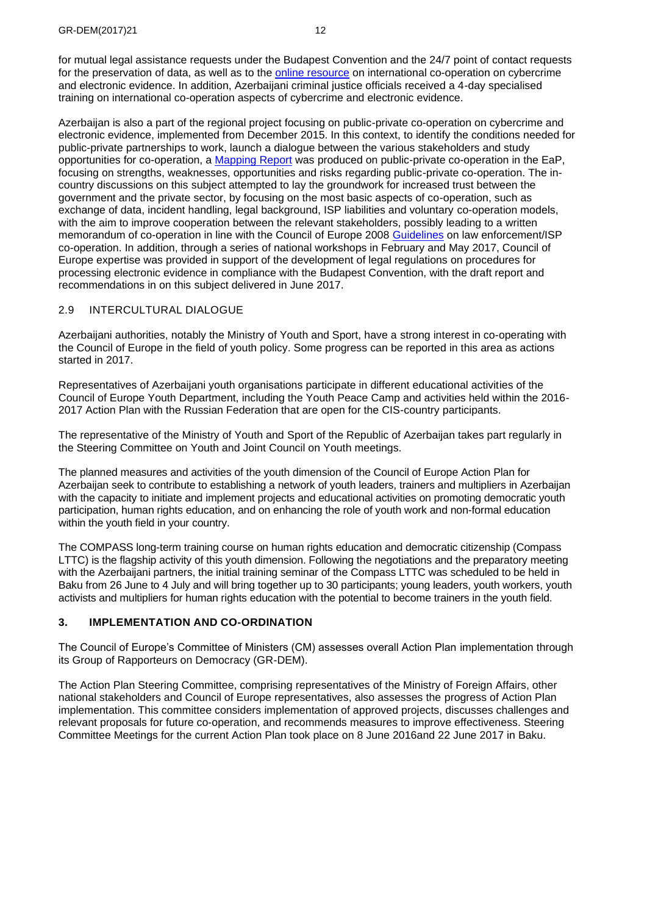for mutual legal assistance requests under the Budapest Convention and the 24/7 point of contact requests for the preservation of data, as well as to the [online resource](http://www.coe.int/en/web/octopus/international-cooperation) on international co-operation on cybercrime and electronic evidence. In addition, Azerbaijani criminal justice officials received a 4-day specialised training on international co-operation aspects of cybercrime and electronic evidence.

Azerbaijan is also a part of the regional project focusing on public-private co-operation on cybercrime and electronic evidence, implemented from December 2015. In this context, to identify the conditions needed for public-private partnerships to work, launch a dialogue between the various stakeholders and study opportunities for co-operation, a [Mapping Report](https://rm.coe.int/CoERMPublicCommonSearchServices/DisplayDCTMContent?documentId=09000016806a5b8f) was produced on public-private co-operation in the EaP, focusing on strengths, weaknesses, opportunities and risks regarding public-private co-operation. The incountry discussions on this subject attempted to lay the groundwork for increased trust between the government and the private sector, by focusing on the most basic aspects of co-operation, such as exchange of data, incident handling, legal background, ISP liabilities and voluntary co-operation models, with the aim to improve cooperation between the relevant stakeholders, possibly leading to a written memorandum of co-operation in line with the Council of Europe 2008 [Guidelines](https://www.coe.int/en/web/cybercrime/lea-/-isp-cooperation) on law enforcement/ISP co-operation. In addition, through a series of national workshops in February and May 2017, Council of Europe expertise was provided in support of the development of legal regulations on procedures for processing electronic evidence in compliance with the Budapest Convention, with the draft report and recommendations in on this subject delivered in June 2017.

## <span id="page-11-0"></span>2.9 INTERCULTURAL DIALOGUE

Azerbaijani authorities, notably the Ministry of Youth and Sport, have a strong interest in co-operating with the Council of Europe in the field of youth policy. Some progress can be reported in this area as actions started in 2017.

Representatives of Azerbaijani youth organisations participate in different educational activities of the Council of Europe Youth Department, including the Youth Peace Camp and activities held within the 2016- 2017 Action Plan with the Russian Federation that are open for the CIS-country participants.

The representative of the Ministry of Youth and Sport of the Republic of Azerbaijan takes part regularly in the Steering Committee on Youth and Joint Council on Youth meetings.

The planned measures and activities of the youth dimension of the Council of Europe Action Plan for Azerbaijan seek to contribute to establishing a network of youth leaders, trainers and multipliers in Azerbaijan with the capacity to initiate and implement projects and educational activities on promoting democratic youth participation, human rights education, and on enhancing the role of youth work and non-formal education within the youth field in your country.

The COMPASS long-term training course on human rights education and democratic citizenship (Compass LTTC) is the flagship activity of this youth dimension. Following the negotiations and the preparatory meeting with the Azerbaijani partners, the initial training seminar of the Compass LTTC was scheduled to be held in Baku from 26 June to 4 July and will bring together up to 30 participants; young leaders, youth workers, youth activists and multipliers for human rights education with the potential to become trainers in the youth field.

## <span id="page-11-1"></span>**3. IMPLEMENTATION AND CO-ORDINATION**

The Council of Europe's Committee of Ministers (CM) assesses overall Action Plan implementation through its Group of Rapporteurs on Democracy (GR-DEM).

The Action Plan Steering Committee, comprising representatives of the Ministry of Foreign Affairs, other national stakeholders and Council of Europe representatives, also assesses the progress of Action Plan implementation. This committee considers implementation of approved projects, discusses challenges and relevant proposals for future co-operation, and recommends measures to improve effectiveness. Steering Committee Meetings for the current Action Plan took place on 8 June 2016and 22 June 2017 in Baku.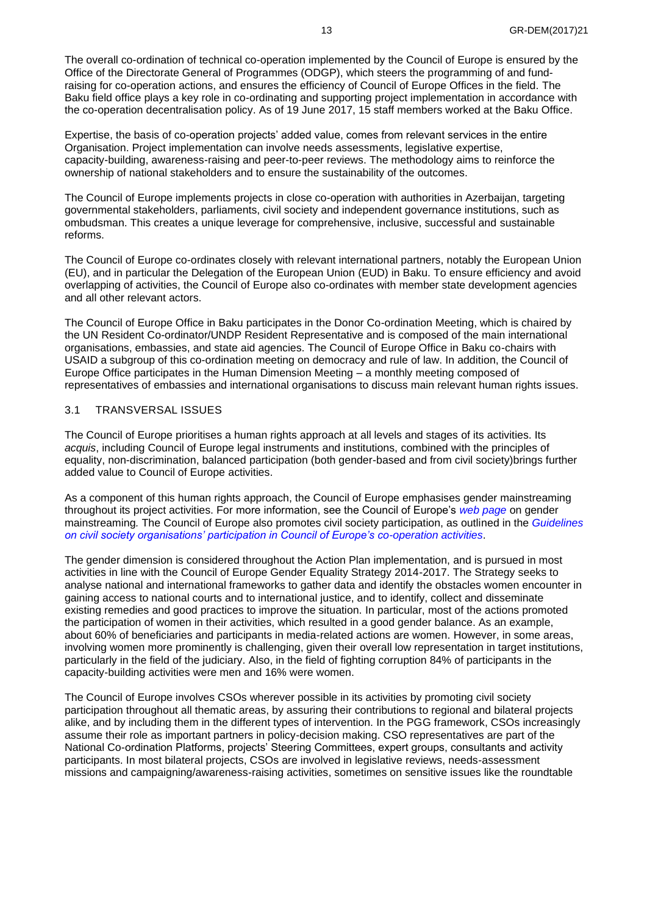The overall co-ordination of technical co-operation implemented by the Council of Europe is ensured by the Office of the Directorate General of Programmes (ODGP), which steers the programming of and fundraising for co-operation actions, and ensures the efficiency of Council of Europe Offices in the field. The Baku field office plays a key role in co-ordinating and supporting project implementation in accordance with the co-operation decentralisation policy. As of 19 June 2017, 15 staff members worked at the Baku Office.

Expertise, the basis of co-operation projects' added value, comes from relevant services in the entire Organisation. Project implementation can involve needs assessments, legislative expertise, capacity-building, awareness-raising and peer-to-peer reviews. The methodology aims to reinforce the ownership of national stakeholders and to ensure the sustainability of the outcomes.

The Council of Europe implements projects in close co-operation with authorities in Azerbaijan, targeting governmental stakeholders, parliaments, civil society and independent governance institutions, such as ombudsman. This creates a unique leverage for comprehensive, inclusive, successful and sustainable reforms.

The Council of Europe co-ordinates closely with relevant international partners, notably the European Union (EU), and in particular the Delegation of the European Union (EUD) in Baku. To ensure efficiency and avoid overlapping of activities, the Council of Europe also co-ordinates with member state development agencies and all other relevant actors.

The Council of Europe Office in Baku participates in the Donor Co-ordination Meeting, which is chaired by the UN Resident Co-ordinator/UNDP Resident Representative and is composed of the main international organisations, embassies, and state aid agencies. The Council of Europe Office in Baku co-chairs with USAID a subgroup of this co-ordination meeting on democracy and rule of law. In addition, the Council of Europe Office participates in the Human Dimension Meeting – a monthly meeting composed of representatives of embassies and international organisations to discuss main relevant human rights issues.

#### <span id="page-12-0"></span>3.1 TRANSVERSAL ISSUES

The Council of Europe prioritises a human rights approach at all levels and stages of its activities. Its *acquis*, including Council of Europe legal instruments and institutions, combined with the principles of equality, non-discrimination, balanced participation (both gender-based and from civil society)brings further added value to Council of Europe activities.

As a component of this human rights approach, the Council of Europe emphasises gender mainstreaming throughout its project activities. For more information, see the Council of Europe's *[web page](http://www.coe.int/en/web/genderequality/gender-mainstreaming-at-the-council-of-europe)* on gender mainstreaming*.* The Council of Europe also promotes civil society participation, as outlined in the *[Guidelines](https://rm.coe.int/CoERMPublicCommonSearchServices/DisplayDCTMContent?documentId=0900001680656cef)  [on civil society organisations' participation in Council of Europe's co-operation activities](https://rm.coe.int/CoERMPublicCommonSearchServices/DisplayDCTMContent?documentId=0900001680656cef)*.

The gender dimension is considered throughout the Action Plan implementation, and is pursued in most activities in line with the Council of Europe Gender Equality Strategy 2014-2017. The Strategy seeks to analyse national and international frameworks to gather data and identify the obstacles women encounter in gaining access to national courts and to international justice, and to identify, collect and disseminate existing remedies and good practices to improve the situation. In particular, most of the actions promoted the participation of women in their activities, which resulted in a good gender balance. As an example, about 60% of beneficiaries and participants in media-related actions are women. However, in some areas, involving women more prominently is challenging, given their overall low representation in target institutions, particularly in the field of the judiciary. Also, in the field of fighting corruption 84% of participants in the capacity-building activities were men and 16% were women.

The Council of Europe involves CSOs wherever possible in its activities by promoting civil society participation throughout all thematic areas, by assuring their contributions to regional and bilateral projects alike, and by including them in the different types of intervention. In the PGG framework, CSOs increasingly assume their role as important partners in policy-decision making. CSO representatives are part of the National Co-ordination Platforms, projects' Steering Committees, expert groups, consultants and activity participants. In most bilateral projects, CSOs are involved in legislative reviews, needs-assessment missions and campaigning/awareness-raising activities, sometimes on sensitive issues like the roundtable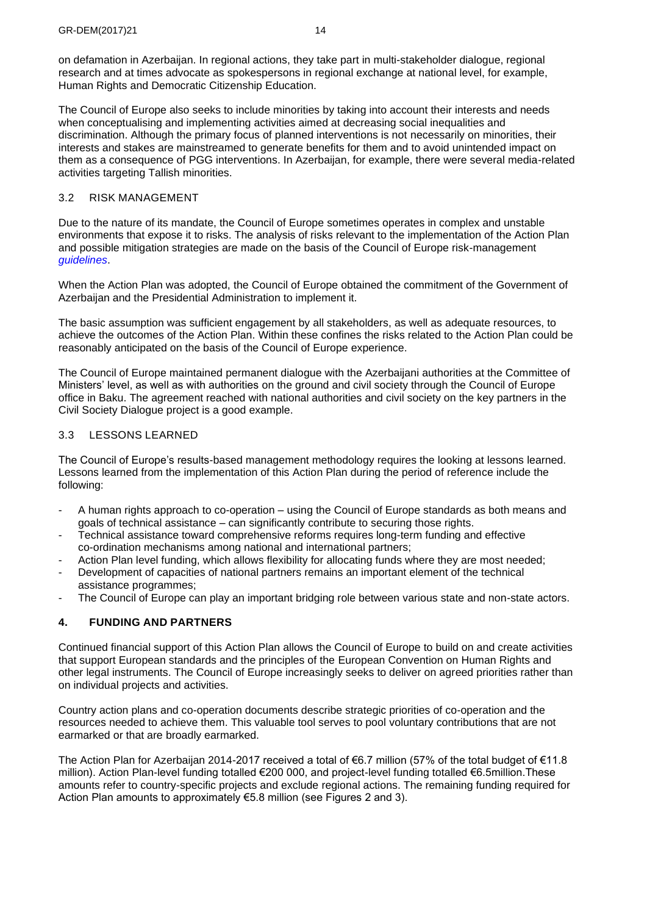on defamation in Azerbaijan. In regional actions, they take part in multi-stakeholder dialogue, regional research and at times advocate as spokespersons in regional exchange at national level, for example, Human Rights and Democratic Citizenship Education.

The Council of Europe also seeks to include minorities by taking into account their interests and needs when conceptualising and implementing activities aimed at decreasing social inequalities and discrimination. Although the primary focus of planned interventions is not necessarily on minorities, their interests and stakes are mainstreamed to generate benefits for them and to avoid unintended impact on them as a consequence of PGG interventions. In Azerbaijan, for example, there were several media-related activities targeting Tallish minorities.

## <span id="page-13-0"></span>3.2 RISK MANAGEMENT

Due to the nature of its mandate, the Council of Europe sometimes operates in complex and unstable environments that expose it to risks. The analysis of risks relevant to the implementation of the Action Plan and possible mitigation strategies are made on the basis of the Council of Europe risk-management *[guidelines](https://rm.coe.int/CoERMPublicCommonSearchServices/DisplayDCTMContent?documentId=09000016806aeeaa)*.

When the Action Plan was adopted, the Council of Europe obtained the commitment of the Government of Azerbaijan and the Presidential Administration to implement it.

The basic assumption was sufficient engagement by all stakeholders, as well as adequate resources, to achieve the outcomes of the Action Plan. Within these confines the risks related to the Action Plan could be reasonably anticipated on the basis of the Council of Europe experience.

The Council of Europe maintained permanent dialogue with the Azerbaijani authorities at the Committee of Ministers' level, as well as with authorities on the ground and civil society through the Council of Europe office in Baku. The agreement reached with national authorities and civil society on the key partners in the Civil Society Dialogue project is a good example.

## <span id="page-13-1"></span>3.3 LESSONS LEARNED

The Council of Europe's results-based management methodology requires the looking at lessons learned. Lessons learned from the implementation of this Action Plan during the period of reference include the following:

- A human rights approach to co-operation using the Council of Europe standards as both means and goals of technical assistance – can significantly contribute to securing those rights.
- Technical assistance toward comprehensive reforms requires long-term funding and effective co-ordination mechanisms among national and international partners;
- Action Plan level funding, which allows flexibility for allocating funds where they are most needed;
- Development of capacities of national partners remains an important element of the technical assistance programmes;
- The Council of Europe can play an important bridging role between various state and non-state actors.

## <span id="page-13-2"></span>**4. FUNDING AND PARTNERS**

Continued financial support of this Action Plan allows the Council of Europe to build on and create activities that support European standards and the principles of the European Convention on Human Rights and other legal instruments. The Council of Europe increasingly seeks to deliver on agreed priorities rather than on individual projects and activities.

Country action plans and co-operation documents describe strategic priorities of co-operation and the resources needed to achieve them. This valuable tool serves to pool voluntary contributions that are not earmarked or that are broadly earmarked.

The Action Plan for Azerbaijan 2014-2017 received a total of €6.7 million (57% of the total budget of €11.8 million). Action Plan-level funding totalled €200 000, and project-level funding totalled €6.5million.These amounts refer to country-specific projects and exclude regional actions. The remaining funding required for Action Plan amounts to approximately €5.8 million (see Figures 2 and 3).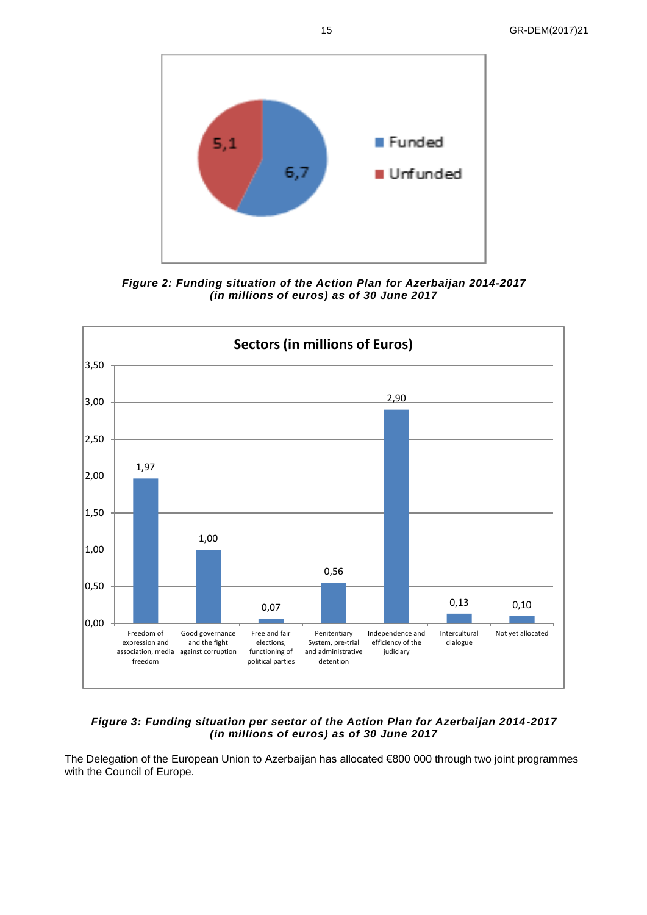15 GR-DEM(2017)21



*Figure 2: Funding situation of the Action Plan for Azerbaijan 2014-2017 (in millions of euros) as of 30 June 2017*



## *Figure 3: Funding situation per sector of the Action Plan for Azerbaijan 2014-2017 (in millions of euros) as of 30 June 2017*

The Delegation of the European Union to Azerbaijan has allocated €800 000 through two joint programmes with the Council of Europe.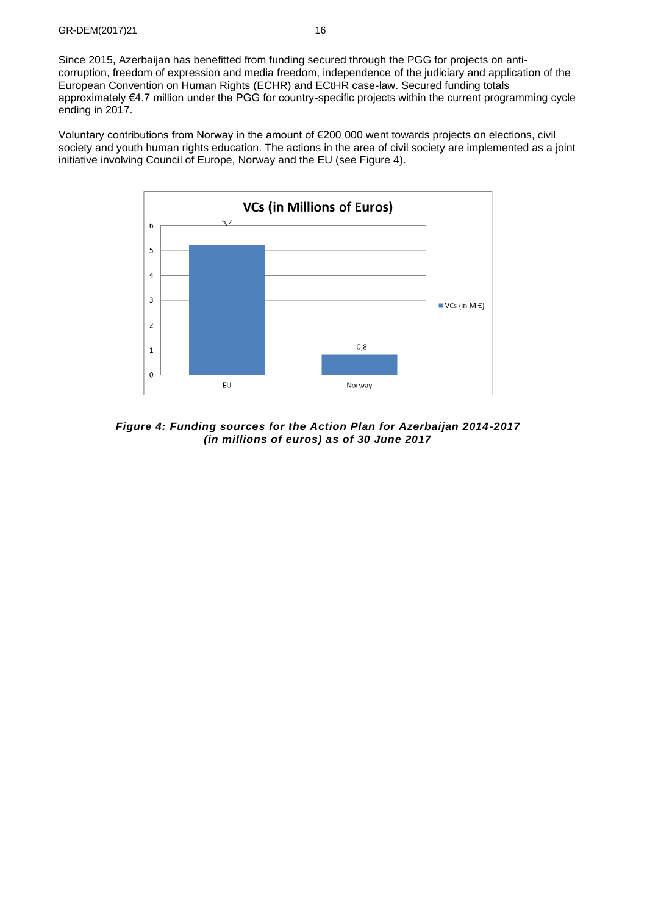Since 2015, Azerbaijan has benefitted from funding secured through the PGG for projects on anticorruption, freedom of expression and media freedom, independence of the judiciary and application of the European Convention on Human Rights (ECHR) and ECtHR case-law. Secured funding totals approximately €4.7 million under the PGG for country-specific projects within the current programming cycle ending in 2017.

Voluntary contributions from Norway in the amount of €200 000 went towards projects on elections, civil society and youth human rights education. The actions in the area of civil society are implemented as a joint initiative involving Council of Europe, Norway and the EU (see Figure 4).



*Figure 4: Funding sources for the Action Plan for Azerbaijan 2014-2017 (in millions of euros) as of 30 June 2017*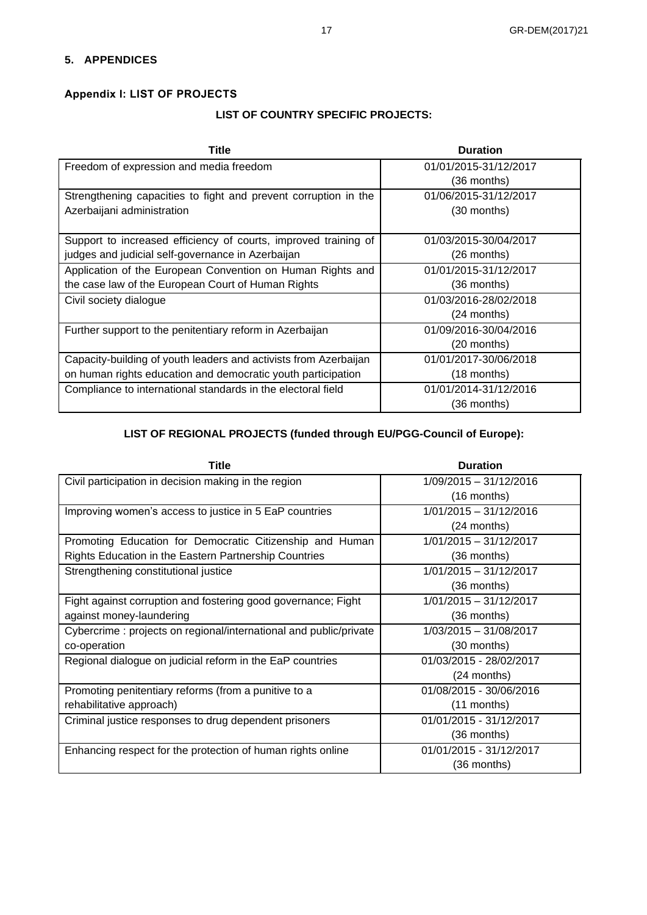## <span id="page-16-0"></span>**5. APPENDICES**

# <span id="page-16-1"></span>**Appendix I: LIST OF PROJECTS**

# **LIST OF COUNTRY SPECIFIC PROJECTS:**

| Title                                                            | <b>Duration</b>       |  |  |  |
|------------------------------------------------------------------|-----------------------|--|--|--|
| Freedom of expression and media freedom                          | 01/01/2015-31/12/2017 |  |  |  |
|                                                                  | (36 months)           |  |  |  |
| Strengthening capacities to fight and prevent corruption in the  | 01/06/2015-31/12/2017 |  |  |  |
| Azerbaijani administration                                       | (30 months)           |  |  |  |
|                                                                  |                       |  |  |  |
| Support to increased efficiency of courts, improved training of  | 01/03/2015-30/04/2017 |  |  |  |
| judges and judicial self-governance in Azerbaijan                | $(26$ months)         |  |  |  |
| Application of the European Convention on Human Rights and       | 01/01/2015-31/12/2017 |  |  |  |
| the case law of the European Court of Human Rights               | (36 months)           |  |  |  |
| Civil society dialogue                                           | 01/03/2016-28/02/2018 |  |  |  |
|                                                                  | (24 months)           |  |  |  |
| Further support to the penitentiary reform in Azerbaijan         | 01/09/2016-30/04/2016 |  |  |  |
|                                                                  | $(20$ months)         |  |  |  |
| Capacity-building of youth leaders and activists from Azerbaijan | 01/01/2017-30/06/2018 |  |  |  |
| on human rights education and democratic youth participation     | $(18$ months)         |  |  |  |
| Compliance to international standards in the electoral field     | 01/01/2014-31/12/2016 |  |  |  |
|                                                                  | (36 months)           |  |  |  |

# **LIST OF REGIONAL PROJECTS (funded through EU/PGG-Council of Europe):**

| Title                                                              | <b>Duration</b>          |  |  |  |
|--------------------------------------------------------------------|--------------------------|--|--|--|
| Civil participation in decision making in the region               | 1/09/2015 - 31/12/2016   |  |  |  |
|                                                                    | $(16$ months)            |  |  |  |
| Improving women's access to justice in 5 EaP countries             | $1/01/2015 - 31/12/2016$ |  |  |  |
|                                                                    | $(24$ months)            |  |  |  |
| Promoting Education for Democratic Citizenship and Human           | 1/01/2015 - 31/12/2017   |  |  |  |
| Rights Education in the Eastern Partnership Countries              | (36 months)              |  |  |  |
| Strengthening constitutional justice                               | $1/01/2015 - 31/12/2017$ |  |  |  |
|                                                                    | (36 months)              |  |  |  |
| Fight against corruption and fostering good governance; Fight      | 1/01/2015 - 31/12/2017   |  |  |  |
| against money-laundering                                           | (36 months)              |  |  |  |
| Cybercrime : projects on regional/international and public/private | 1/03/2015 - 31/08/2017   |  |  |  |
| co-operation                                                       | (30 months)              |  |  |  |
| Regional dialogue on judicial reform in the EaP countries          | 01/03/2015 - 28/02/2017  |  |  |  |
|                                                                    | (24 months)              |  |  |  |
| Promoting penitentiary reforms (from a punitive to a               | 01/08/2015 - 30/06/2016  |  |  |  |
| rehabilitative approach)                                           | $(11$ months)            |  |  |  |
| Criminal justice responses to drug dependent prisoners             | 01/01/2015 - 31/12/2017  |  |  |  |
|                                                                    | (36 months)              |  |  |  |
| Enhancing respect for the protection of human rights online        | 01/01/2015 - 31/12/2017  |  |  |  |
|                                                                    | (36 months)              |  |  |  |